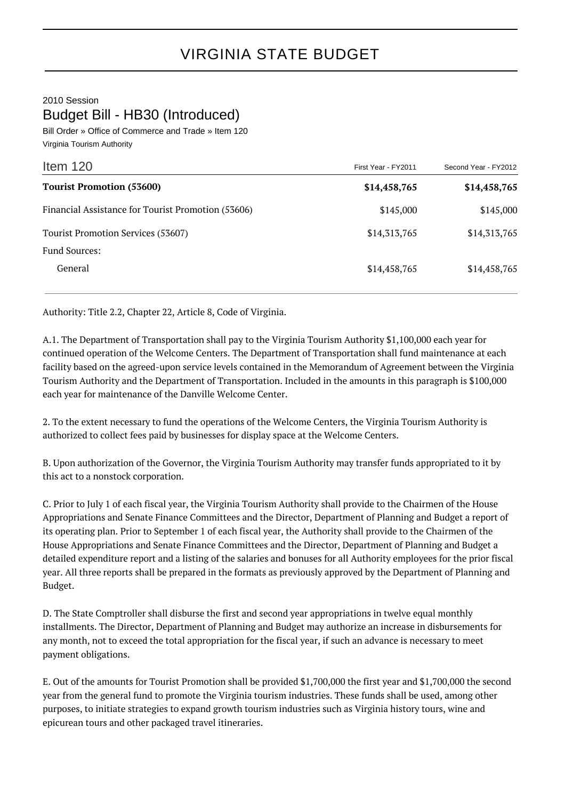## 2010 Session Budget Bill - HB30 (Introduced)

Bill Order » Office of Commerce and Trade » Item 120 Virginia Tourism Authority

| First Year - FY2011 | Second Year - FY2012 |
|---------------------|----------------------|
| \$14,458,765        | \$14,458,765         |
| \$145,000           | \$145,000            |
| \$14,313,765        | \$14,313,765         |
|                     |                      |
| \$14,458,765        | \$14,458,765         |
|                     |                      |

Authority: Title 2.2, Chapter 22, Article 8, Code of Virginia.

A.1. The Department of Transportation shall pay to the Virginia Tourism Authority \$1,100,000 each year for continued operation of the Welcome Centers. The Department of Transportation shall fund maintenance at each facility based on the agreed-upon service levels contained in the Memorandum of Agreement between the Virginia Tourism Authority and the Department of Transportation. Included in the amounts in this paragraph is \$100,000 each year for maintenance of the Danville Welcome Center.

2. To the extent necessary to fund the operations of the Welcome Centers, the Virginia Tourism Authority is authorized to collect fees paid by businesses for display space at the Welcome Centers.

B. Upon authorization of the Governor, the Virginia Tourism Authority may transfer funds appropriated to it by this act to a nonstock corporation.

C. Prior to July 1 of each fiscal year, the Virginia Tourism Authority shall provide to the Chairmen of the House Appropriations and Senate Finance Committees and the Director, Department of Planning and Budget a report of its operating plan. Prior to September 1 of each fiscal year, the Authority shall provide to the Chairmen of the House Appropriations and Senate Finance Committees and the Director, Department of Planning and Budget a detailed expenditure report and a listing of the salaries and bonuses for all Authority employees for the prior fiscal year. All three reports shall be prepared in the formats as previously approved by the Department of Planning and Budget.

D. The State Comptroller shall disburse the first and second year appropriations in twelve equal monthly installments. The Director, Department of Planning and Budget may authorize an increase in disbursements for any month, not to exceed the total appropriation for the fiscal year, if such an advance is necessary to meet payment obligations.

E. Out of the amounts for Tourist Promotion shall be provided \$1,700,000 the first year and \$1,700,000 the second year from the general fund to promote the Virginia tourism industries. These funds shall be used, among other purposes, to initiate strategies to expand growth tourism industries such as Virginia history tours, wine and epicurean tours and other packaged travel itineraries.